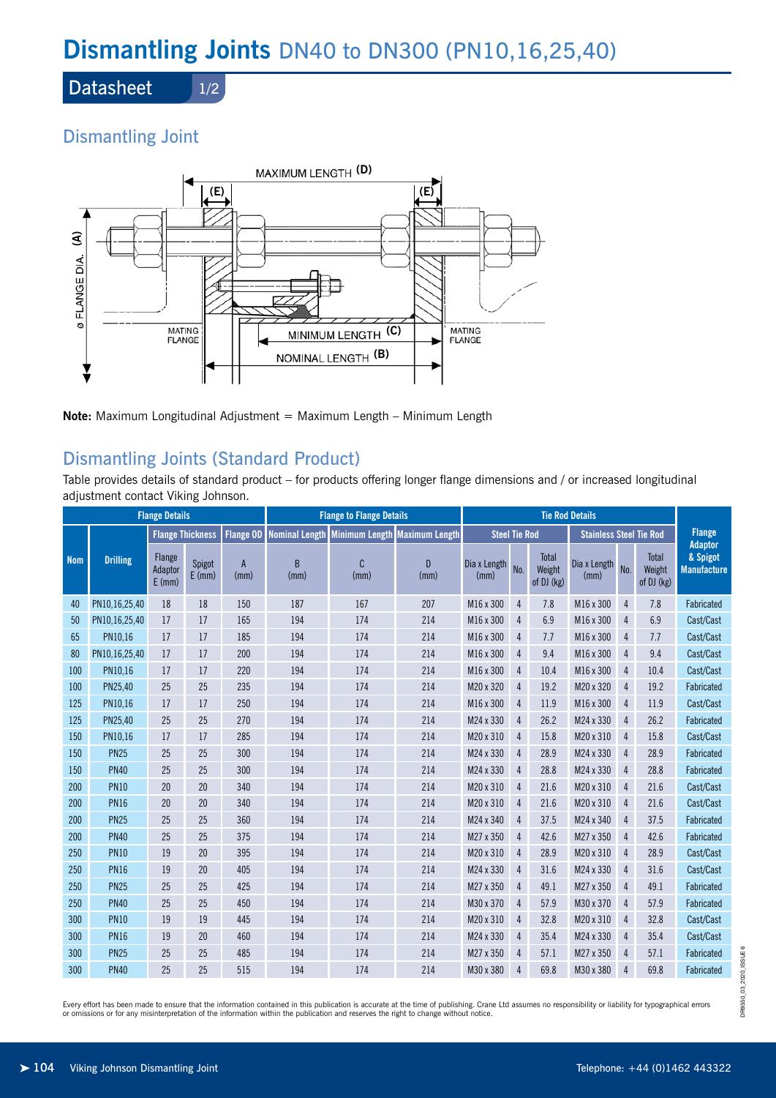# **Dismantling Joints** DN40 to DN300 (PN10,16,25,40)

**Datasheet** 

1/2

# Dismantling Joint



**Note:** Maximum Longitudinal Adjustment = Maximum Length – Minimum Length

# Dismantling Joints (Standard Product)

Table provides details of standard product – for products offering longer flange dimensions and / or increased longitudinal adjustment contact Viking Johnson.

| <b>Flange Details</b> |                 |                               |                    |                      | <b>Flange to Flange Details</b>                |           |                       | <b>Tie Rod Details</b> |                |                               |                                |                |                               |                                                  |
|-----------------------|-----------------|-------------------------------|--------------------|----------------------|------------------------------------------------|-----------|-----------------------|------------------------|----------------|-------------------------------|--------------------------------|----------------|-------------------------------|--------------------------------------------------|
| <b>Nom</b>            | <b>Drilling</b> | <b>Flange Thickness</b>       |                    | <b>Flange OD</b>     | <b>Nominal Length</b><br><b>Minimum Length</b> |           | <b>Maximum Length</b> | <b>Steel Tie Rod</b>   |                |                               | <b>Stainless Steel Tie Rod</b> |                |                               | <b>Flange</b>                                    |
|                       |                 | Flange<br>Adaptor<br>$E$ (mm) | Spigot<br>$E$ (mm) | $\mathsf{A}$<br>(mm) | B<br>(mm)                                      | C<br>(mm) | D.<br>(mm)            | Dia x Length<br>(mm)   | No.            | Total<br>Weight<br>of DJ (kg) | Dia x Length<br>(mm)           | No.            | Total<br>Weight<br>of DJ (kg) | <b>Adaptor</b><br>& Spigot<br><b>Manufacture</b> |
| 40                    | PN10,16,25,40   | 18                            | 18                 | 150                  | 187                                            | 167       | 207                   | M16 x 300              | $\overline{4}$ | 7.8                           | M16 x 300                      | $\overline{4}$ | 7.8                           | Fabricated                                       |
| 50                    | PN10,16,25,40   | 17                            | 17                 | 165                  | 194                                            | 174       | 214                   | M16 x 300              | $\overline{4}$ | 6.9                           | M16 x 300                      | 4              | 6.9                           | Cast/Cast                                        |
| 65                    | PN10,16         | 17                            | 17                 | 185                  | 194                                            | 174       | 214                   | M16 x 300              | $\overline{4}$ | 7.7                           | M16 x 300                      | 4              | 7.7                           | Cast/Cast                                        |
| 80                    | PN10,16,25,40   | 17                            | 17                 | 200                  | 194                                            | 174       | 214                   | M16 x 300              | $\overline{4}$ | 9.4                           | M16 x 300                      | $\overline{4}$ | 9.4                           | Cast/Cast                                        |
| 100                   | PN10.16         | 17                            | 17                 | 220                  | 194                                            | 174       | 214                   | M16 x 300              | $\overline{4}$ | 10.4                          | M16 x 300                      | $\overline{4}$ | 10.4                          | Cast/Cast                                        |
| 100                   | PN25.40         | 25                            | 25                 | 235                  | 194                                            | 174       | 214                   | M20 x 320              | $\overline{4}$ | 19.2                          | M20 x 320                      | $\overline{4}$ | 19.2                          | Fabricated                                       |
| 125                   | PN10,16         | 17                            | 17                 | 250                  | 194                                            | 174       | 214                   | M16 x 300              | $\overline{4}$ | 11.9                          | M16 x 300                      | 4              | 11.9                          | Cast/Cast                                        |
| 125                   | PN25,40         | 25                            | 25                 | 270                  | 194                                            | 174       | 214                   | M24 x 330              | $\overline{4}$ | 26.2                          | M24 x 330                      | 4              | 26.2                          | Fabricated                                       |
| 150                   | PN10,16         | 17                            | 17                 | 285                  | 194                                            | 174       | 214                   | M20 x 310              | $\overline{4}$ | 15.8                          | M20 x 310                      | $\overline{4}$ | 15.8                          | Cast/Cast                                        |
| 150                   | <b>PN25</b>     | 25                            | 25                 | 300                  | 194                                            | 174       | 214                   | M24 x 330              | $\overline{4}$ | 28.9                          | M24 x 330                      | $\overline{4}$ | 28.9                          | Fabricated                                       |
| 150                   | <b>PN40</b>     | 25                            | 25                 | 300                  | 194                                            | 174       | 214                   | M24 x 330              | $\overline{4}$ | 28.8                          | M24 x 330                      | 4              | 28.8                          | Fabricated                                       |
| 200                   | <b>PN10</b>     | 20                            | 20                 | 340                  | 194                                            | 174       | 214                   | M20 x 310              | $\overline{4}$ | 21.6                          | M20 x 310                      | $\overline{4}$ | 21.6                          | Cast/Cast                                        |
| 200                   | <b>PN16</b>     | 20                            | 20                 | 340                  | 194                                            | 174       | 214                   | M20 x 310              | $\overline{4}$ | 21.6                          | M20 x 310                      | $\overline{4}$ | 21.6                          | Cast/Cast                                        |
| 200                   | <b>PN25</b>     | 25                            | 25                 | 360                  | 194                                            | 174       | 214                   | M24 x 340              | $\overline{4}$ | 37.5                          | M24 x 340                      | $\overline{4}$ | 37.5                          | Fabricated                                       |
| 200                   | <b>PN40</b>     | 25                            | 25                 | 375                  | 194                                            | 174       | 214                   | M27 x 350              | $\overline{4}$ | 42.6                          | M27 x 350                      | $\overline{4}$ | 42.6                          | Fabricated                                       |
| 250                   | <b>PN10</b>     | 19                            | 20                 | 395                  | 194                                            | 174       | 214                   | M20 x 310              | $\overline{4}$ | 28.9                          | M20 x 310                      | $\overline{4}$ | 28.9                          | Cast/Cast                                        |
| 250                   | <b>PN16</b>     | 19                            | 20                 | 405                  | 194                                            | 174       | 214                   | M24 x 330              | $\overline{4}$ | 31.6                          | M24 x 330                      | 4              | 31.6                          | Cast/Cast                                        |
| 250                   | <b>PN25</b>     | 25                            | 25                 | 425                  | 194                                            | 174       | 214                   | M27 x 350              | $\overline{4}$ | 49.1                          | M27 x 350                      | $\overline{4}$ | 49.1                          | Fabricated                                       |
| 250                   | <b>PN40</b>     | 25                            | 25                 | 450                  | 194                                            | 174       | 214                   | M30 x 370              | 4              | 57.9                          | M30 x 370                      | 4              | 57.9                          | Fabricated                                       |
| 300                   | <b>PN10</b>     | 19                            | 19                 | 445                  | 194                                            | 174       | 214                   | M20 x 310              | $\overline{4}$ | 32.8                          | M20 x 310                      | 4              | 32.8                          | Cast/Cast                                        |
| 300                   | <b>PN16</b>     | 19                            | 20                 | 460                  | 194                                            | 174       | 214                   | M24 x 330              | $\overline{4}$ | 35.4                          | M24 x 330                      | 4              | 35.4                          | Cast/Cast                                        |
| 300                   | <b>PN25</b>     | 25                            | 25                 | 485                  | 194                                            | 174       | 214                   | M27 x 350              | $\overline{4}$ | 57.1                          | M27 x 350                      | $\overline{4}$ | 57.1                          | Fabricated                                       |
| 300                   | <b>PN40</b>     | 25                            | 25                 | 515                  | 194                                            | 174       | 214                   | M30 x 380              | $\overline{4}$ | 69.8                          | M30 x 380                      | 4              | 69.8                          | Fabricated                                       |

Every effort has been made to ensure that the information contained in this publication is accurate at the time of publishing. Crane Ltd assumes no responsibility or liability for typographical errors or omissions or for any misinterpretation of the information within the publication and reserves the right to change without notice.